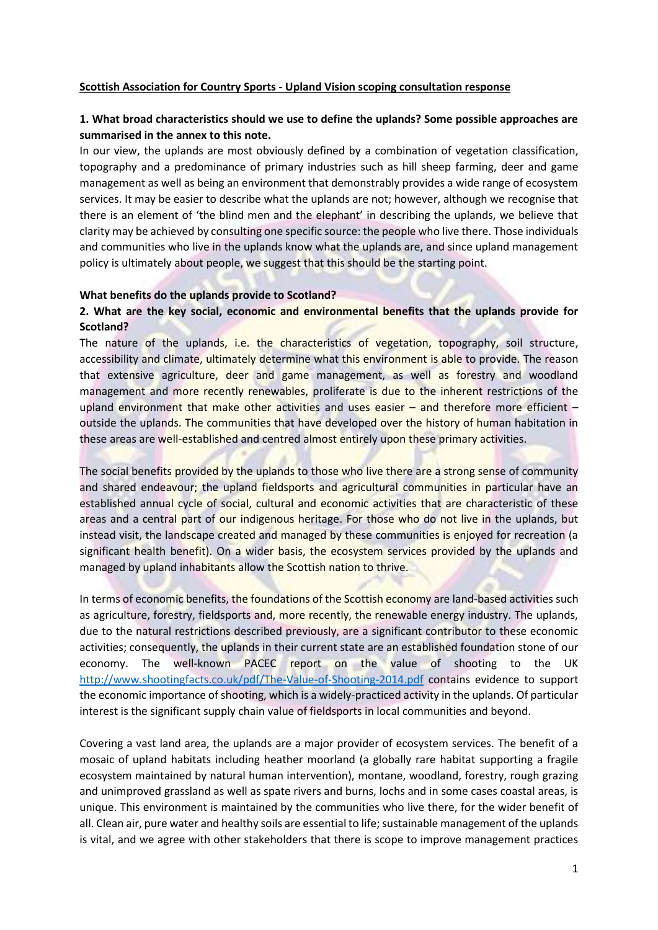### **Scottish Association for Country Sports - Upland Vision scoping consultation response**

# **1. What broad characteristics should we use to define the uplands? Some possible approaches are summarised in the annex to this note.**

In our view, the uplands are most obviously defined by a combination of vegetation classification, topography and a predominance of primary industries such as hill sheep farming, deer and game management as well as being an environment that demonstrably provides a wide range of ecosystem services. It may be easier to describe what the uplands are not; however, although we recognise that there is an element of 'the blind men and the elephant' in describing the uplands, we believe that clarity may be achieved by consulting one specific source: the people who live there. Those individuals and communities who live in the uplands know what the uplands are, and since upland management policy is ultimately about people, we suggest that this should be the starting point.

### **What benefits do the uplands provide to Scotland?**

# **2. What are the key social, economic and environmental benefits that the uplands provide for Scotland?**

The nature of the uplands, i.e. the characteristics of vegetation, topography, soil structure, accessibility and climate, ultimately determine what this environment is able to provide. The reason that extensive agriculture, deer and game management, as well as forestry and woodland management and more recently renewables, proliferate is due to the inherent restrictions of the upland environment that make other activities and uses easier – and therefore more efficient – outside the uplands. The communities that have developed over the history of human habitation in these areas are well-established and centred almost entirely upon these primary activities.

The social benefits provided by the uplands to those who live there are a strong sense of community and shared endeavour; the upland fieldsports and agricultural communities in particular have an established annual cycle of social, cultural and economic activities that are characteristic of these areas and a central part of our indigenous heritage. For those who do not live in the uplands, but instead visit, the landscape created and managed by these communities is enjoyed for recreation (a significant health benefit). On a wider basis, the ecosystem services provided by the uplands and managed by upland inhabitants allow the Scottish nation to thrive.

In terms of economic benefits, the foundations of the Scottish economy are land-based activities such as agriculture, forestry, fieldsports and, more recently, the renewable energy industry. The uplands, due to the natural restrictions described previously, are a significant contributor to these economic activities; consequently, the uplands in their current state are an established foundation stone of our economy. The well-known PACEC report on the value of shooting to the UK <http://www.shootingfacts.co.uk/pdf/The-Value-of-Shooting-2014.pdf> contains evidence to support the economic importance of shooting, which is a widely-practiced activity in the uplands. Of particular interest is the significant supply chain value of fieldsports in local communities and beyond.

Covering a vast land area, the uplands are a major provider of ecosystem services. The benefit of a mosaic of upland habitats including heather moorland (a globally rare habitat supporting a fragile ecosystem maintained by natural human intervention), montane, woodland, forestry, rough grazing and unimproved grassland as well as spate rivers and burns, lochs and in some cases coastal areas, is unique. This environment is maintained by the communities who live there, for the wider benefit of all. Clean air, pure water and healthy soils are essential to life; sustainable management of the uplands is vital, and we agree with other stakeholders that there is scope to improve management practices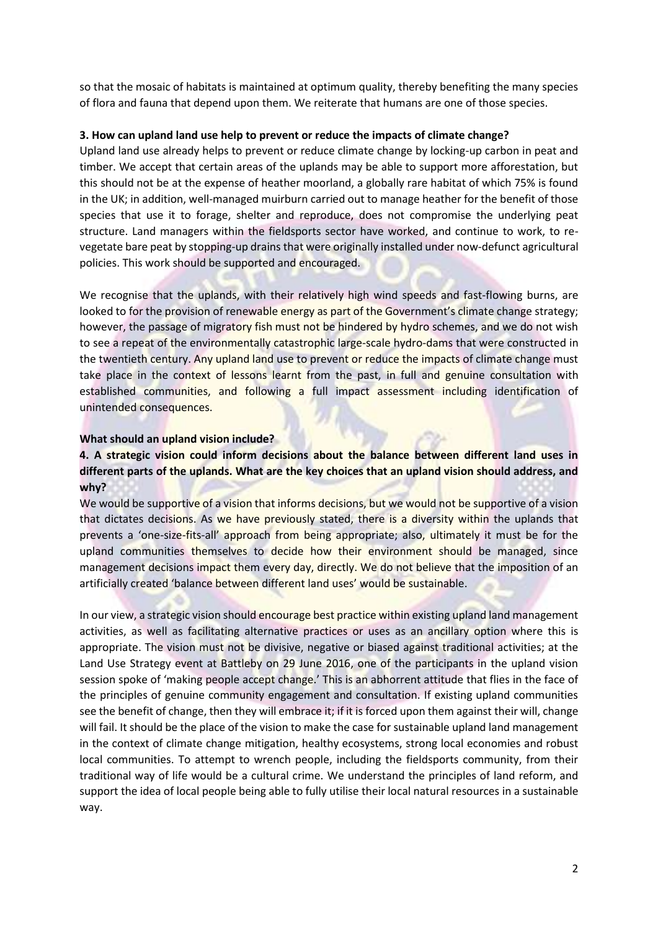so that the mosaic of habitats is maintained at optimum quality, thereby benefiting the many species of flora and fauna that depend upon them. We reiterate that humans are one of those species.

## **3. How can upland land use help to prevent or reduce the impacts of climate change?**

Upland land use already helps to prevent or reduce climate change by locking-up carbon in peat and timber. We accept that certain areas of the uplands may be able to support more afforestation, but this should not be at the expense of heather moorland, a globally rare habitat of which 75% is found in the UK; in addition, well-managed muirburn carried out to manage heather for the benefit of those species that use it to forage, shelter and reproduce, does not compromise the underlying peat structure. Land managers within the fieldsports sector have worked, and continue to work, to revegetate bare peat by stopping-up drains that were originally installed under now-defunct agricultural policies. This work should be supported and encouraged.

We recognise that the uplands, with their relatively high wind speeds and fast-flowing burns, are looked to for the provision of renewable energy as part of the Government's climate change strategy; however, the passage of migratory fish must not be hindered by hydro schemes, and we do not wish to see a repeat of the environmentally catastrophic large-scale hydro-dams that were constructed in the twentieth century. Any upland land use to prevent or reduce the impacts of climate change must take place in the context of lessons learnt from the past, in full and genuine consultation with established communities, and following a full impact assessment including identification of unintended consequences.

## **What should an upland vision include?**

# **4. A strategic vision could inform decisions about the balance between different land uses in different parts of the uplands. What are the key choices that an upland vision should address, and why?**

We would be supportive of a vision that informs decisions, but we would not be supportive of a vision that dictates decisions. As we have previously stated, there is a diversity within the uplands that prevents a 'one-size-fits-all' approach from being appropriate; also, ultimately it must be for the upland communities themselves to decide how their environment should be managed, since management decisions impact them every day, directly. We do not believe that the imposition of an artificially created 'balance between different land uses' would be sustainable.

In our view, a strategic vision should encourage best practice within existing upland land management activities, as well as facilitating alternative practices or uses as an ancillary option where this is appropriate. The vision must not be divisive, negative or biased against traditional activities; at the Land Use Strategy event at Battleby on 29 June 2016, one of the participants in the upland vision session spoke of 'making people accept change.' This is an abhorrent attitude that flies in the face of the principles of genuine community engagement and consultation. If existing upland communities see the benefit of change, then they will embrace it; if it is forced upon them against their will, change will fail. It should be the place of the vision to make the case for sustainable upland land management in the context of climate change mitigation, healthy ecosystems, strong local economies and robust local communities. To attempt to wrench people, including the fieldsports community, from their traditional way of life would be a cultural crime. We understand the principles of land reform, and support the idea of local people being able to fully utilise their local natural resources in a sustainable way.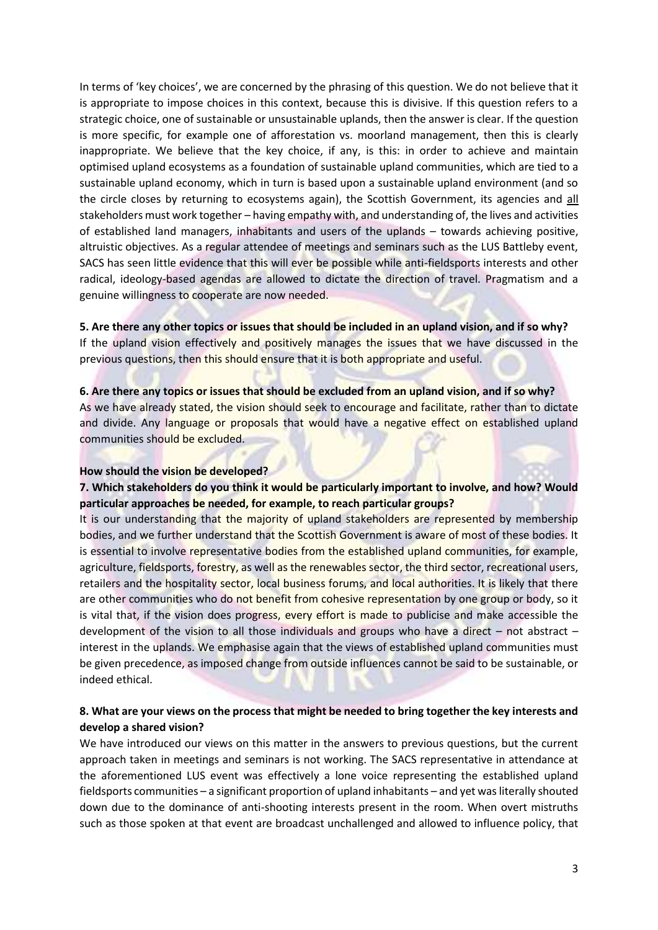In terms of 'key choices', we are concerned by the phrasing of this question. We do not believe that it is appropriate to impose choices in this context, because this is divisive. If this question refers to a strategic choice, one of sustainable or unsustainable uplands, then the answer is clear. If the question is more specific, for example one of afforestation vs. moorland management, then this is clearly inappropriate. We believe that the key choice, if any, is this: in order to achieve and maintain optimised upland ecosystems as a foundation of sustainable upland communities, which are tied to a sustainable upland economy, which in turn is based upon a sustainable upland environment (and so the circle closes by returning to ecosystems again), the Scottish Government, its agencies and all stakeholders must work together – having empathy with, and understanding of, the lives and activities of established land managers, inhabitants and users of the uplands – towards achieving positive, altruistic objectives. As a regular attendee of meetings and seminars such as the LUS Battleby event, SACS has seen little evidence that this will ever be possible while anti-fieldsports interests and other radical, ideology-based agendas are allowed to dictate the direction of travel. Pragmatism and a genuine willingness to cooperate are now needed.

**5. Are there any other topics or issues that should be included in an upland vision, and if so why?**  If the upland vision effectively and positively manages the issues that we have discussed in the previous questions, then this should ensure that it is both appropriate and useful.

#### **6. Are there any topics or issues that should be excluded from an upland vision, and if so why?**

As we have already stated, the vision should seek to encourage and facilitate, rather than to dictate and divide. Any language or proposals that would have a negative effect on established upland communities should be excluded.

### **How should the vision be developed?**

# **7. Which stakeholders do you think it would be particularly important to involve, and how? Would particular approaches be needed, for example, to reach particular groups?**

It is our understanding that the majority of upland stakeholders are represented by membership bodies, and we further understand that the Scottish Government is aware of most of these bodies. It is essential to involve representative bodies from the established upland communities, for example, agriculture, fieldsports, forestry, as well as the renewables sector, the third sector, recreational users, retailers and the hospitality sector, local business forums, and local authorities. It is likely that there are other communities who do not benefit from cohesive representation by one group or body, so it is vital that, if the vision does progress, every effort is made to publicise and make accessible the development of the vision to all those individuals and groups who have a direct – not abstract – interest in the uplands. We emphasise again that the views of established upland communities must be given precedence, as imposed change from outside influences cannot be said to be sustainable, or indeed ethical.

## **8. What are your views on the process that might be needed to bring together the key interests and develop a shared vision?**

We have introduced our views on this matter in the answers to previous questions, but the current approach taken in meetings and seminars is not working. The SACS representative in attendance at the aforementioned LUS event was effectively a lone voice representing the established upland fieldsports communities – a significant proportion of upland inhabitants – and yet was literally shouted down due to the dominance of anti-shooting interests present in the room. When overt mistruths such as those spoken at that event are broadcast unchallenged and allowed to influence policy, that